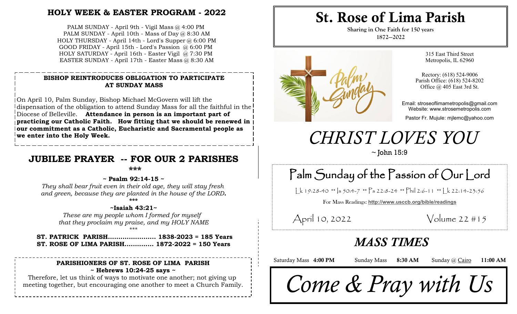# **HOLY WEEK & EASTER PROGRAM - 2022**

PALM SUNDAY - April 9th - Vigil Mass @ 4:00 PM PALM SUNDAY - April 10th - Mass of Day  $@@8:30$  AM HOLY THURSDAY - April 14th - Lord's Supper @ 6:00 PM GOOD FRIDAY - April 15th - Lord's Passion @ 6:00 PM HOLY SATURDAY - April 16th - Easter Vigil @ 7:30 PM EASTER SUNDAY - April 17th - Easter Mass @ 8:30 AM

### **BISHOP REINTRODUCES OBLIGATION TO PARTICIPATE AT SUNDAY MASS**

On April 10, Palm Sunday, Bishop Michael McGovern will lift the dispensation of the obligation to attend Sunday Mass for all the faithful in the Diocese of Belleville. **Attendance in person is an important part of practicing our Catholic Faith. How fitting that we should be renewed in our commitment as a Catholic, Eucharistic and Sacramental people as we enter into the Holy Week.**

# **JUBILEE PRAYER -- FOR OUR 2 PARISHES**

**\*\*\***

#### **~ Psalm 92:14-15 ~**

*They shall bear fruit even in their old age, they will stay fresh and green, because they are planted in the house of the LORD.* **\*\*\***

#### **~Isaiah 43:21~**

*These are my people whom I formed for myself that they proclaim my praise, and my HOLY NAME* \*\*\*

**ST. PATRICK PARISH....................... 1838-2023 = 185 Years ST. ROSE OF LIMA PARISH.............. 1872-2022 = 150 Years**

### **PARISHIONERS OF ST. ROSE OF LIMA PARISH ~ Hebrews 10:24-25 says ~**

Therefore, let us think of ways to motivate one another; not giving up meeting together, but encouraging one another to meet a Church Family.

# St. Rose of Lima Parish

**Sharing in One Faith for 150 years 1872—2022**



315 East Third Street Metropolis, IL 62960

Rectory: (618) 524-9006 Parish Office: (618) 524-8202 Office @ 405 East 3rd St.

Email: stroseoflimametropolis@gmail.com Website: www.strosemetropolis.com

Pastor Fr. Mujule: mjlemc@yahoo.com

# *CHRIST LOVES YOU*

 $\sim$  John 15:9

# *~ For I rescued the oppressed when they cried out to me for help*  Palm Sunday of the Passion of Our Lord

 $\lfloor k 19:28-40 \right.$  \*\*  $\lfloor s 50:4-7 \right.$  \*\*  $\lfloor s 22:8-24 \right.$  \*\*  $\lfloor k 12:6-11 \right.$  \*\*  $\lfloor k 22:14-23:56 \rfloor$ 

For Mass Readings: **http://www.usccb.org/bible/readings**

April 10, 2022 Volume 22 #15

# *MASS TIMES*

Saturday Mass 4:00 PM Sunday Mass 8:30 AM Sunday @ Cairo 11:00 AM